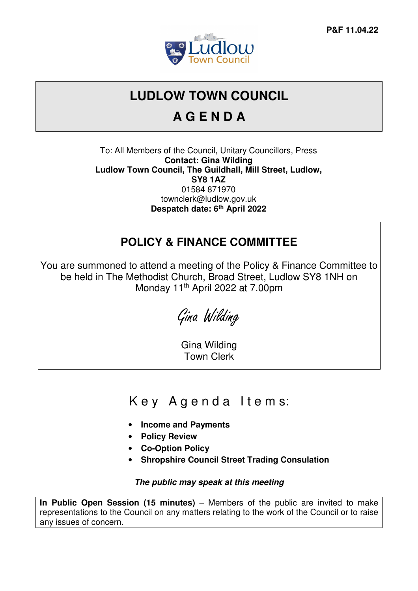

# **LUDLOW TOWN COUNCIL**

# **A G E N D A**

To: All Members of the Council, Unitary Councillors, Press **Contact: Gina Wilding Ludlow Town Council, The Guildhall, Mill Street, Ludlow, SY8 1AZ**  01584 871970 townclerk@ludlow.gov.uk **Despatch date: 6th April 2022** 

#### **POLICY & FINANCE COMMITTEE**

You are summoned to attend a meeting of the Policy & Finance Committee to be held in The Methodist Church, Broad Street, Ludlow SY8 1NH on Monday 11<sup>th</sup> April 2022 at 7.00pm

Gina Wilding

Gina Wilding Town Clerk

### Key Agenda Items:

- **Income and Payments**
- **Policy Review**
- **Co-Option Policy**
- **Shropshire Council Street Trading Consulation**

#### **The public may speak at this meeting**

**In Public Open Session (15 minutes)** – Members of the public are invited to make representations to the Council on any matters relating to the work of the Council or to raise any issues of concern.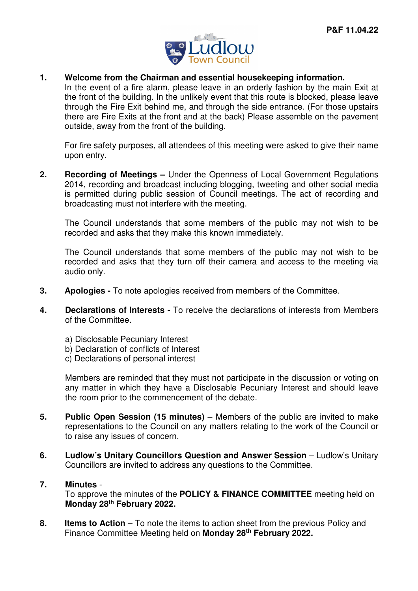

#### **1. Welcome from the Chairman and essential housekeeping information.**

In the event of a fire alarm, please leave in an orderly fashion by the main Exit at the front of the building. In the unlikely event that this route is blocked, please leave through the Fire Exit behind me, and through the side entrance. (For those upstairs there are Fire Exits at the front and at the back) Please assemble on the pavement outside, away from the front of the building.

For fire safety purposes, all attendees of this meeting were asked to give their name upon entry.

**2. Recording of Meetings –** Under the Openness of Local Government Regulations 2014, recording and broadcast including blogging, tweeting and other social media is permitted during public session of Council meetings. The act of recording and broadcasting must not interfere with the meeting.

The Council understands that some members of the public may not wish to be recorded and asks that they make this known immediately.

The Council understands that some members of the public may not wish to be recorded and asks that they turn off their camera and access to the meeting via audio only.

- **3. Apologies** To note apologies received from members of the Committee.
- **4. Declarations of Interests** To receive the declarations of interests from Members of the Committee.
	- a) Disclosable Pecuniary Interest
	- b) Declaration of conflicts of Interest
	- c) Declarations of personal interest

Members are reminded that they must not participate in the discussion or voting on any matter in which they have a Disclosable Pecuniary Interest and should leave the room prior to the commencement of the debate.

- **5.** Public Open Session (15 minutes) Members of the public are invited to make representations to the Council on any matters relating to the work of the Council or to raise any issues of concern.
- **6. Ludlow's Unitary Councillors Question and Answer Session Ludlow's Unitary** Councillors are invited to address any questions to the Committee.

#### **7. Minutes** -

To approve the minutes of the **POLICY & FINANCE COMMITTEE** meeting held on **Monday 28th February 2022.**

**8.** Items to Action – To note the items to action sheet from the previous Policy and Finance Committee Meeting held on **Monday 28th February 2022.**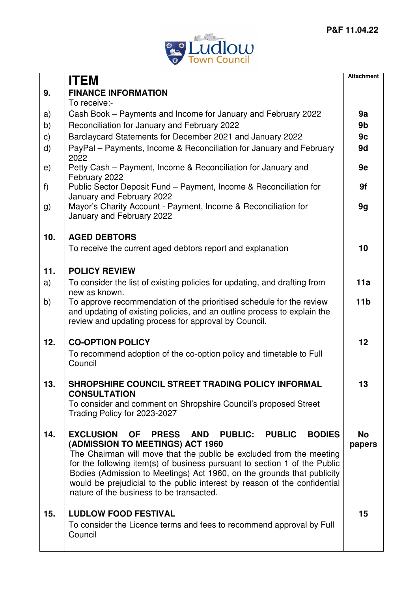

|     | <b>ITEM</b>                                                                                                                                                                                                                                                                                                                                                                                                                                                                     | <b>Attachment</b>   |
|-----|---------------------------------------------------------------------------------------------------------------------------------------------------------------------------------------------------------------------------------------------------------------------------------------------------------------------------------------------------------------------------------------------------------------------------------------------------------------------------------|---------------------|
| 9.  | <b>FINANCE INFORMATION</b>                                                                                                                                                                                                                                                                                                                                                                                                                                                      |                     |
|     | To receive:-                                                                                                                                                                                                                                                                                                                                                                                                                                                                    |                     |
| a)  | Cash Book – Payments and Income for January and February 2022                                                                                                                                                                                                                                                                                                                                                                                                                   | 9a                  |
| b)  | Reconciliation for January and February 2022                                                                                                                                                                                                                                                                                                                                                                                                                                    | 9 <sub>b</sub>      |
| C)  | Barclaycard Statements for December 2021 and January 2022                                                                                                                                                                                                                                                                                                                                                                                                                       | 9c                  |
| d)  | PayPal – Payments, Income & Reconciliation for January and February<br>2022                                                                                                                                                                                                                                                                                                                                                                                                     | 9d                  |
| e)  | Petty Cash – Payment, Income & Reconciliation for January and<br>February 2022                                                                                                                                                                                                                                                                                                                                                                                                  | 9e                  |
| f)  | Public Sector Deposit Fund - Payment, Income & Reconciliation for<br>January and February 2022                                                                                                                                                                                                                                                                                                                                                                                  | 9f                  |
| g)  | Mayor's Charity Account - Payment, Income & Reconciliation for<br>January and February 2022                                                                                                                                                                                                                                                                                                                                                                                     | 9g                  |
| 10. | <b>AGED DEBTORS</b>                                                                                                                                                                                                                                                                                                                                                                                                                                                             |                     |
|     | To receive the current aged debtors report and explanation                                                                                                                                                                                                                                                                                                                                                                                                                      | 10                  |
| 11. | <b>POLICY REVIEW</b>                                                                                                                                                                                                                                                                                                                                                                                                                                                            |                     |
| a)  | To consider the list of existing policies for updating, and drafting from                                                                                                                                                                                                                                                                                                                                                                                                       | 11a                 |
|     | new as known.                                                                                                                                                                                                                                                                                                                                                                                                                                                                   |                     |
| b)  | To approve recommendation of the prioritised schedule for the review<br>and updating of existing policies, and an outline process to explain the<br>review and updating process for approval by Council.                                                                                                                                                                                                                                                                        | 11 <sub>b</sub>     |
| 12. | <b>CO-OPTION POLICY</b>                                                                                                                                                                                                                                                                                                                                                                                                                                                         | 12                  |
|     | To recommend adoption of the co-option policy and timetable to Full<br>Council                                                                                                                                                                                                                                                                                                                                                                                                  |                     |
| 13. | SHROPSHIRE COUNCIL STREET TRADING POLICY INFORMAL<br><b>CONSULTATION</b>                                                                                                                                                                                                                                                                                                                                                                                                        | 13                  |
|     | To consider and comment on Shropshire Council's proposed Street<br>Trading Policy for 2023-2027                                                                                                                                                                                                                                                                                                                                                                                 |                     |
| 14. | <b>EXCLUSION</b><br><b>PRESS</b><br>AND PUBLIC: PUBLIC<br><b>BODIES</b><br><b>OF</b><br>(ADMISSION TO MEETINGS) ACT 1960<br>The Chairman will move that the public be excluded from the meeting<br>for the following item(s) of business pursuant to section 1 of the Public<br>Bodies (Admission to Meetings) Act 1960, on the grounds that publicity<br>would be prejudicial to the public interest by reason of the confidential<br>nature of the business to be transacted. | <b>No</b><br>papers |
| 15. | <b>LUDLOW FOOD FESTIVAL</b><br>To consider the Licence terms and fees to recommend approval by Full                                                                                                                                                                                                                                                                                                                                                                             | 15                  |
|     | Council                                                                                                                                                                                                                                                                                                                                                                                                                                                                         |                     |